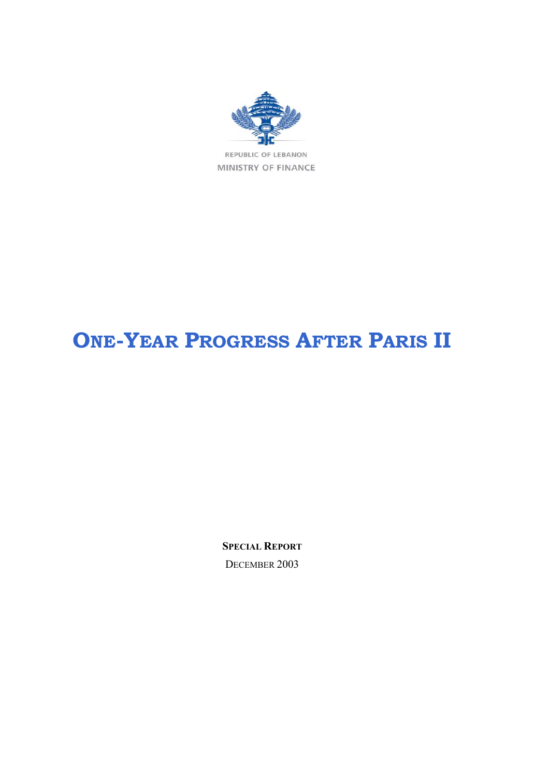

REPUBLIC OF LEBANON MINISTRY OF FINANCE

# **ONE-YEAR PROGRESS AFTER PARIS II**

**SPECIAL REPORT** DECEMBER 2003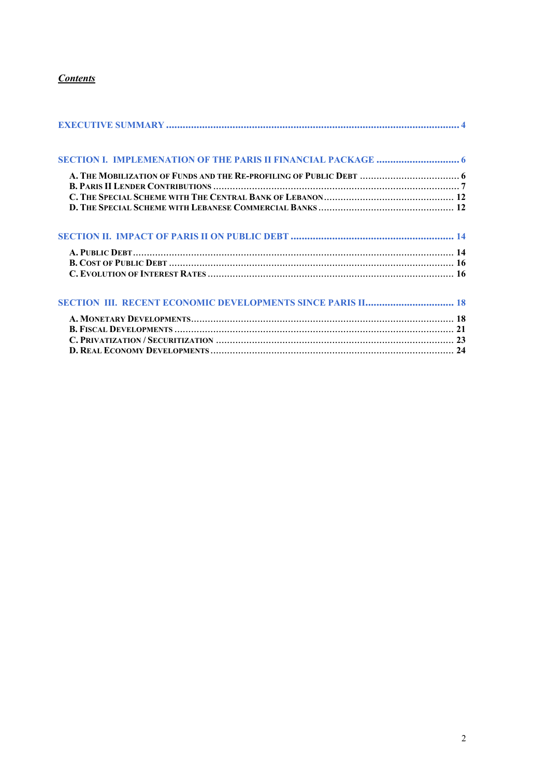# *Contents*

| A. THE MOBILIZATION OF FUNDS AND THE RE-PROFILING OF PUBLIC DEBT  6 |  |
|---------------------------------------------------------------------|--|
|                                                                     |  |
|                                                                     |  |
|                                                                     |  |
|                                                                     |  |
|                                                                     |  |
|                                                                     |  |
|                                                                     |  |
|                                                                     |  |
|                                                                     |  |
|                                                                     |  |
|                                                                     |  |
|                                                                     |  |
|                                                                     |  |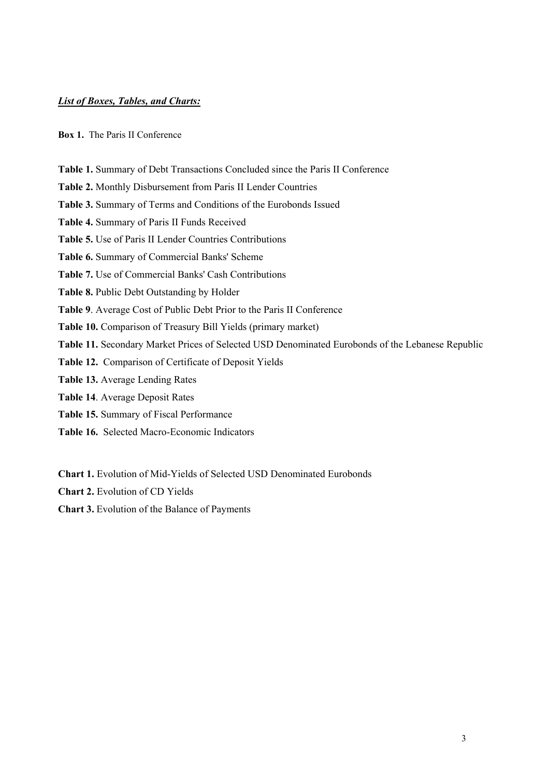## *List of Boxes, Tables, and Charts:*

#### **Box 1.** The Paris II Conference

**Table 1.** Summary of Debt Transactions Concluded since the Paris II Conference

**Table 2.** Monthly Disbursement from Paris II Lender Countries

**Table 3.** Summary of Terms and Conditions of the Eurobonds Issued

**Table 4.** Summary of Paris II Funds Received

**Table 5.** Use of Paris II Lender Countries Contributions

**Table 6.** Summary of Commercial Banks' Scheme

**Table 7.** Use of Commercial Banks' Cash Contributions

**Table 8.** Public Debt Outstanding by Holder

**Table 9**. Average Cost of Public Debt Prior to the Paris II Conference

**Table 10.** Comparison of Treasury Bill Yields (primary market)

**Table 11.** Secondary Market Prices of Selected USD Denominated Eurobonds of the Lebanese Republic

**Table 12.** Comparison of Certificate of Deposit Yields

**Table 13.** Average Lending Rates

**Table 14**. Average Deposit Rates

**Table 15.** Summary of Fiscal Performance

**Table 16.** Selected Macro-Economic Indicators

**Chart 1.** Evolution of Mid-Yields of Selected USD Denominated Eurobonds

**Chart 2.** Evolution of CD Yields

**Chart 3.** Evolution of the Balance of Payments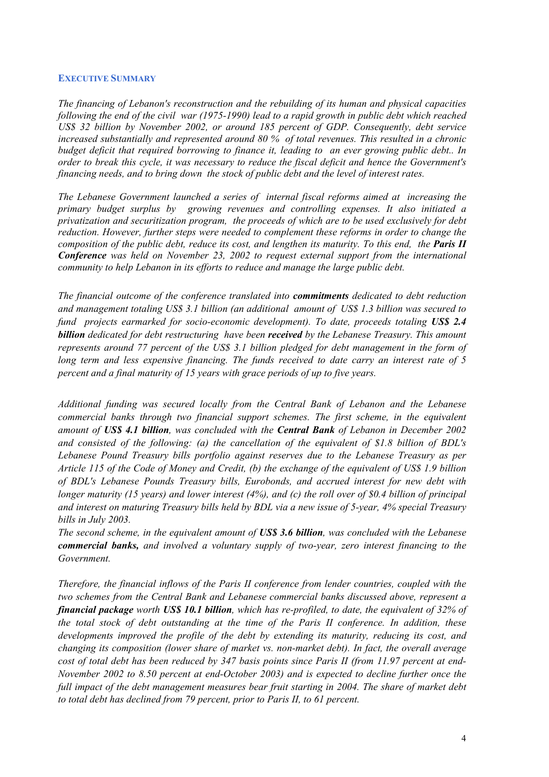#### **EXECUTIVE SUMMARY**

*The financing of Lebanon's reconstruction and the rebuilding of its human and physical capacities following the end of the civil war (1975-1990) lead to a rapid growth in public debt which reached US\$ 32 billion by November 2002, or around 185 percent of GDP. Consequently, debt service increased substantially and represented around 80 % of total revenues. This resulted in a chronic budget deficit that required borrowing to finance it, leading to an ever growing public debt.. In order to break this cycle, it was necessary to reduce the fiscal deficit and hence the Government's financing needs, and to bring down the stock of public debt and the level of interest rates.* 

*The Lebanese Government launched a series of internal fiscal reforms aimed at increasing the primary budget surplus by growing revenues and controlling expenses. It also initiated a privatization and securitization program, the proceeds of which are to be used exclusively for debt reduction. However, further steps were needed to complement these reforms in order to change the composition of the public debt, reduce its cost, and lengthen its maturity. To this end, the Paris II Conference was held on November 23, 2002 to request external support from the international community to help Lebanon in its efforts to reduce and manage the large public debt.* 

*The financial outcome of the conference translated into commitments dedicated to debt reduction and management totaling US\$ 3.1 billion (an additional amount of US\$ 1.3 billion was secured to fund projects earmarked for socio-economic development). To date, proceeds totaling US\$ 2.4 billion dedicated for debt restructuring have been received by the Lebanese Treasury. This amount represents around 77 percent of the US\$ 3.1 billion pledged for debt management in the form of long term and less expensive financing. The funds received to date carry an interest rate of 5 percent and a final maturity of 15 years with grace periods of up to five years.* 

*Additional funding was secured locally from the Central Bank of Lebanon and the Lebanese commercial banks through two financial support schemes. The first scheme, in the equivalent amount of US\$ 4.1 billion, was concluded with the Central Bank of Lebanon in December 2002 and consisted of the following: (a) the cancellation of the equivalent of \$1.8 billion of BDL's Lebanese Pound Treasury bills portfolio against reserves due to the Lebanese Treasury as per Article 115 of the Code of Money and Credit, (b) the exchange of the equivalent of US\$ 1.9 billion of BDL's Lebanese Pounds Treasury bills, Eurobonds, and accrued interest for new debt with longer maturity (15 years) and lower interest (4%), and (c) the roll over of \$0.4 billion of principal and interest on maturing Treasury bills held by BDL via a new issue of 5-year, 4% special Treasury bills in July 2003.* 

*The second scheme, in the equivalent amount of US\$ 3.6 billion, was concluded with the Lebanese commercial banks, and involved a voluntary supply of two-year, zero interest financing to the Government.* 

*Therefore, the financial inflows of the Paris II conference from lender countries, coupled with the two schemes from the Central Bank and Lebanese commercial banks discussed above, represent a financial package worth US\$ 10.1 billion, which has re-profiled, to date, the equivalent of 32% of the total stock of debt outstanding at the time of the Paris II conference. In addition, these developments improved the profile of the debt by extending its maturity, reducing its cost, and changing its composition (lower share of market vs. non-market debt). In fact, the overall average cost of total debt has been reduced by 347 basis points since Paris II (from 11.97 percent at end-November 2002 to 8.50 percent at end-October 2003) and is expected to decline further once the full impact of the debt management measures bear fruit starting in 2004. The share of market debt to total debt has declined from 79 percent, prior to Paris II, to 61 percent.*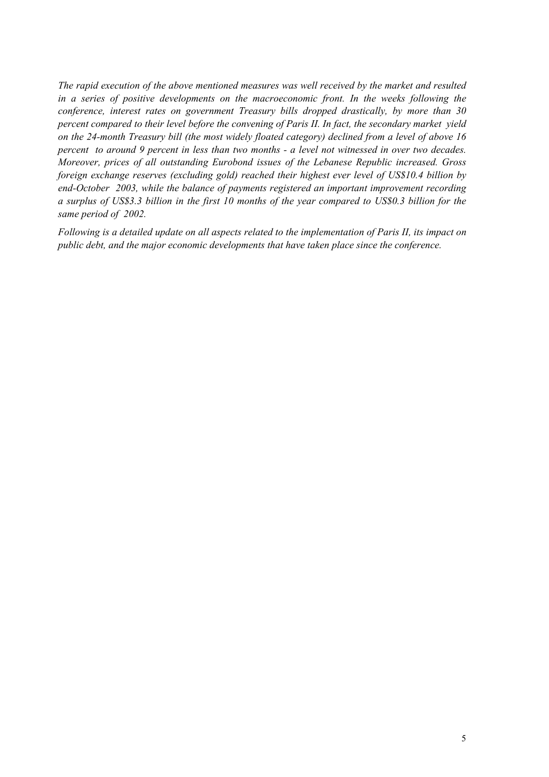*The rapid execution of the above mentioned measures was well received by the market and resulted in a series of positive developments on the macroeconomic front. In the weeks following the conference, interest rates on government Treasury bills dropped drastically, by more than 30 percent compared to their level before the convening of Paris II. In fact, the secondary market yield on the 24-month Treasury bill (the most widely floated category) declined from a level of above 16 percent to around 9 percent in less than two months - a level not witnessed in over two decades. Moreover, prices of all outstanding Eurobond issues of the Lebanese Republic increased. Gross foreign exchange reserves (excluding gold) reached their highest ever level of US\$10.4 billion by end-October 2003, while the balance of payments registered an important improvement recording a surplus of US\$3.3 billion in the first 10 months of the year compared to US\$0.3 billion for the same period of 2002.* 

*Following is a detailed update on all aspects related to the implementation of Paris II, its impact on public debt, and the major economic developments that have taken place since the conference.*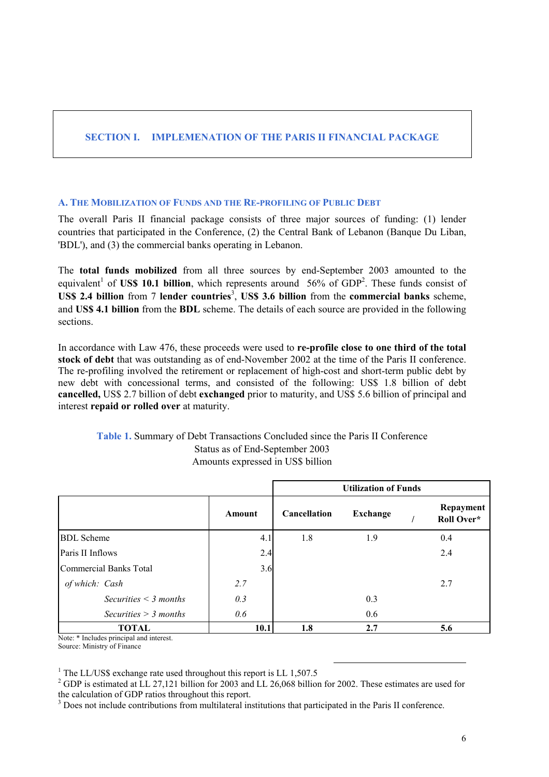# **SECTION I. IMPLEMENATION OF THE PARIS II FINANCIAL PACKAGE**

## **A. THE MOBILIZATION OF FUNDS AND THE RE-PROFILING OF PUBLIC DEBT**

The overall Paris II financial package consists of three major sources of funding: (1) lender countries that participated in the Conference, (2) the Central Bank of Lebanon (Banque Du Liban, 'BDL'), and (3) the commercial banks operating in Lebanon.

The **total funds mobilized** from all three sources by end-September 2003 amounted to the equivalent<sup>1</sup> of **US\$ 10.1 billion**, which represents around 56% of GDP<sup>2</sup>. These funds consist of US\$ 2.4 billion from 7 lender countries<sup>3</sup>, US\$ 3.6 billion from the commercial banks scheme, and **US\$ 4.1 billion** from the **BDL** scheme. The details of each source are provided in the following sections.

In accordance with Law 476, these proceeds were used to **re-profile close to one third of the total stock of debt** that was outstanding as of end-November 2002 at the time of the Paris II conference. The re-profiling involved the retirement or replacement of high-cost and short-term public debt by new debt with concessional terms, and consisted of the following: US\$ 1.8 billion of debt **cancelled,** US\$ 2.7 billion of debt **exchanged** prior to maturity, and US\$ 5.6 billion of principal and interest **repaid or rolled over** at maturity.

## **Table 1.** Summary of Debt Transactions Concluded since the Paris II Conference Status as of End-September 2003 Amounts expressed in US\$ billion

|                            |        | <b>Utilization of Funds</b> |                 |  |                         |  |
|----------------------------|--------|-----------------------------|-----------------|--|-------------------------|--|
|                            | Amount | <b>Cancellation</b>         | <b>Exchange</b> |  | Repayment<br>Roll Over* |  |
| <b>BDL</b> Scheme          | 4.1    | 1.8                         | 1.9             |  | 0.4                     |  |
| Paris II Inflows           | 2.4    |                             |                 |  | 2.4                     |  |
| Commercial Banks Total     | 3.6    |                             |                 |  |                         |  |
| of which: Cash             | 2.7    |                             |                 |  | 2.7                     |  |
| Securities $\leq$ 3 months | 0.3    |                             | 0.3             |  |                         |  |
| Securities $>$ 3 months    | 0.6    |                             | 0.6             |  |                         |  |
| <b>TOTAL</b>               | 10.1   | 1.8                         | 2.7             |  | 5.6                     |  |

Note: \* Includes principal and interest. Source: Ministry of Finance

<sup>1</sup> The LL/US\$ exchange rate used throughout this report is LL 1,507.5

 $^{2}$  GDP is estimated at LL 27,121 billion for 2003 and LL 26,068 billion for 2002. These estimates are used for the calculation of GDP ratios throughout this report.

<sup>3</sup> Does not include contributions from multilateral institutions that participated in the Paris II conference.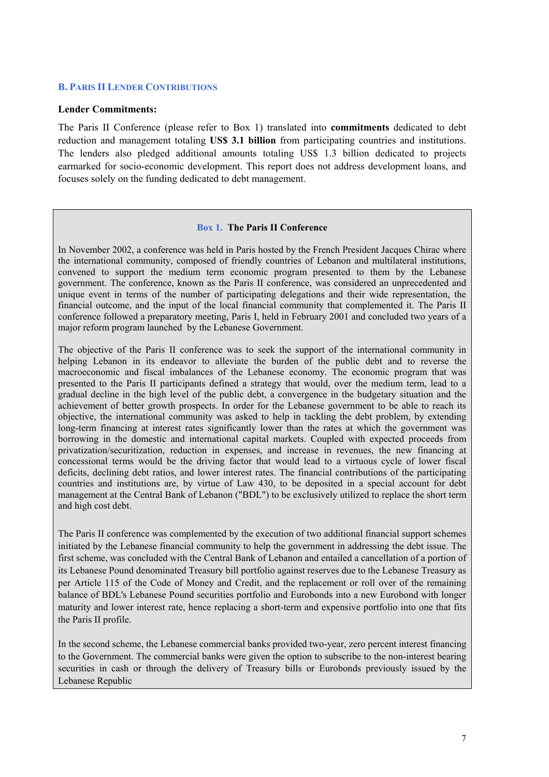#### **B. PARIS II LENDER CONTRIBUTIONS**

#### **Lender Commitments:**

The Paris II Conference (please refer to Box 1) translated into **commitments** dedicated to debt reduction and management totaling **US\$ 3.1 billion** from participating countries and institutions. The lenders also pledged additional amounts totaling US\$ 1.3 billion dedicated to projects earmarked for socio-economic development. This report does not address development loans, and focuses solely on the funding dedicated to debt management.

#### **Box 1. The Paris II Conference**

In November 2002, a conference was held in Paris hosted by the French President Jacques Chirac where the international community, composed of friendly countries of Lebanon and multilateral institutions, convened to support the medium term economic program presented to them by the Lebanese government. The conference, known as the Paris II conference, was considered an unprecedented and unique event in terms of the number of participating delegations and their wide representation, the financial outcome, and the input of the local financial community that complemented it. The Paris II conference followed a preparatory meeting, Paris I, held in February 2001 and concluded two years of a major reform program launched by the Lebanese Government.

The objective of the Paris II conference was to seek the support of the international community in helping Lebanon in its endeavor to alleviate the burden of the public debt and to reverse the macroeconomic and fiscal imbalances of the Lebanese economy. The economic program that was presented to the Paris II participants defined a strategy that would, over the medium term, lead to a gradual decline in the high level of the public debt, a convergence in the budgetary situation and the achievement of better growth prospects. In order for the Lebanese government to be able to reach its objective, the international community was asked to help in tackling the debt problem, by extending long-term financing at interest rates significantly lower than the rates at which the government was borrowing in the domestic and international capital markets. Coupled with expected proceeds from privatization/securitization, reduction in expenses, and increase in revenues, the new financing at concessional terms would be the driving factor that would lead to a virtuous cycle of lower fiscal deficits, declining debt ratios, and lower interest rates. The financial contributions of the participating countries and institutions are, by virtue of Law 430, to be deposited in a special account for debt management at the Central Bank of Lebanon ("BDL") to be exclusively utilized to replace the short term and high cost debt.

The Paris II conference was complemented by the execution of two additional financial support schemes initiated by the Lebanese financial community to help the government in addressing the debt issue. The first scheme, was concluded with the Central Bank of Lebanon and entailed a cancellation of a portion of its Lebanese Pound denominated Treasury bill portfolio against reserves due to the Lebanese Treasury as per Article 115 of the Code of Money and Credit, and the replacement or roll over of the remaining balance of BDL's Lebanese Pound securities portfolio and Eurobonds into a new Eurobond with longer maturity and lower interest rate, hence replacing a short-term and expensive portfolio into one that fits the Paris II profile.

In the second scheme, the Lebanese commercial banks provided two-year, zero percent interest financing to the Government. The commercial banks were given the option to subscribe to the non-interest bearing securities in cash or through the delivery of Treasury bills or Eurobonds previously issued by the Lebanese Republic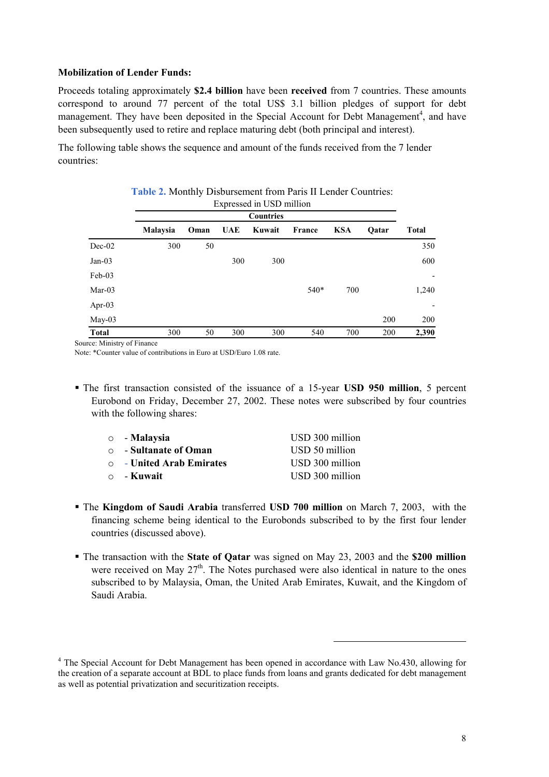#### **Mobilization of Lender Funds:**

Proceeds totaling approximately **\$2.4 billion** have been **received** from 7 countries. These amounts correspond to around 77 percent of the total US\$ 3.1 billion pledges of support for debt management. They have been deposited in the Special Account for Debt Management<sup>4</sup>, and have been subsequently used to retire and replace maturing debt (both principal and interest).

The following table shows the sequence and amount of the funds received from the 7 lender countries:

|          | <b>Table 2.</b> Monthly Disbursement from Paris II Lender Countries: |      |     |        |        |            |       |              |  |
|----------|----------------------------------------------------------------------|------|-----|--------|--------|------------|-------|--------------|--|
|          | Expressed in USD million<br><b>Countries</b>                         |      |     |        |        |            |       |              |  |
|          | Malaysia                                                             | Oman | UAE | Kuwait | France | <b>KSA</b> | Oatar | <b>Total</b> |  |
| $Dec-02$ | 300                                                                  | 50   |     |        |        |            |       | 350          |  |
| Jan-03   |                                                                      |      | 300 | 300    |        |            |       | 600          |  |
| Feb-03   |                                                                      |      |     |        |        |            |       | -            |  |
| Mar-03   |                                                                      |      |     |        | $540*$ | 700        |       | 1,240        |  |
| Apr-03   |                                                                      |      |     |        |        |            |       | -            |  |
| May-03   |                                                                      |      |     |        |        |            | 200   | 200          |  |
| Total    | 300                                                                  | 50   | 300 | 300    | 540    | 700        | 200   | 2,390        |  |

Source: Ministry of Finance

Note: \*Counter value of contributions in Euro at USD/Euro 1.08 rate.

 The first transaction consisted of the issuance of a 15-year **USD 950 million**, 5 percent Eurobond on Friday, December 27, 2002. These notes were subscribed by four countries with the following shares:

| $\circ$ - Malaysia             | USD 300 million |
|--------------------------------|-----------------|
| ○ - Sultanate of Oman          | USD 50 million  |
| $\circ$ - United Arab Emirates | USD 300 million |
| $\circ$ - Kuwait               | USD 300 million |

- The **Kingdom of Saudi Arabia** transferred **USD 700 million** on March 7, 2003, with the financing scheme being identical to the Eurobonds subscribed to by the first four lender countries (discussed above).
- The transaction with the **State of Qatar** was signed on May 23, 2003 and the **\$200 million** were received on May  $27<sup>th</sup>$ . The Notes purchased were also identical in nature to the ones subscribed to by Malaysia, Oman, the United Arab Emirates, Kuwait, and the Kingdom of Saudi Arabia.

 $\overline{a}$ 

<sup>&</sup>lt;sup>4</sup> The Special Account for Debt Management has been opened in accordance with Law No.430, allowing for the creation of a separate account at BDL to place funds from loans and grants dedicated for debt management as well as potential privatization and securitization receipts.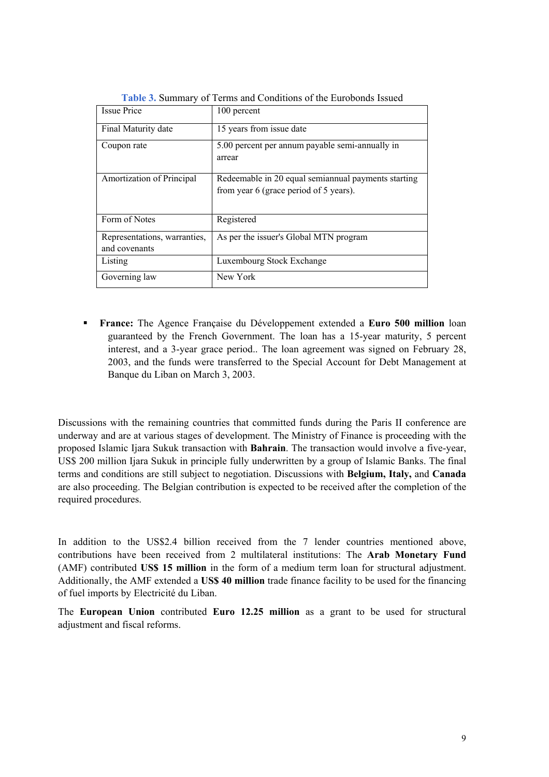| <b>Issue Price</b>                            | 100 percent                                                                                   |
|-----------------------------------------------|-----------------------------------------------------------------------------------------------|
| Final Maturity date                           | 15 years from issue date                                                                      |
| Coupon rate                                   | 5.00 percent per annum payable semi-annually in<br>arrear                                     |
| Amortization of Principal                     | Redeemable in 20 equal semiannual payments starting<br>from year 6 (grace period of 5 years). |
| Form of Notes                                 | Registered                                                                                    |
| Representations, warranties,<br>and covenants | As per the issuer's Global MTN program                                                        |
| Listing                                       | Luxembourg Stock Exchange                                                                     |
| Governing law                                 | New York                                                                                      |

**Table 3.** Summary of Terms and Conditions of the Eurobonds Issued

 **France:** The Agence Française du Développement extended a **Euro 500 million** loan guaranteed by the French Government. The loan has a 15-year maturity, 5 percent interest, and a 3-year grace period.. The loan agreement was signed on February 28, 2003, and the funds were transferred to the Special Account for Debt Management at Banque du Liban on March 3, 2003.

Discussions with the remaining countries that committed funds during the Paris II conference are underway and are at various stages of development. The Ministry of Finance is proceeding with the proposed Islamic Ijara Sukuk transaction with **Bahrain**. The transaction would involve a five-year, US\$ 200 million Ijara Sukuk in principle fully underwritten by a group of Islamic Banks. The final terms and conditions are still subject to negotiation. Discussions with **Belgium, Italy,** and **Canada** are also proceeding. The Belgian contribution is expected to be received after the completion of the required procedures.

In addition to the US\$2.4 billion received from the 7 lender countries mentioned above, contributions have been received from 2 multilateral institutions: The **Arab Monetary Fund** (AMF) contributed **US\$ 15 million** in the form of a medium term loan for structural adjustment. Additionally, the AMF extended a **US\$ 40 million** trade finance facility to be used for the financing of fuel imports by Electricité du Liban.

The **European Union** contributed **Euro 12.25 million** as a grant to be used for structural adjustment and fiscal reforms.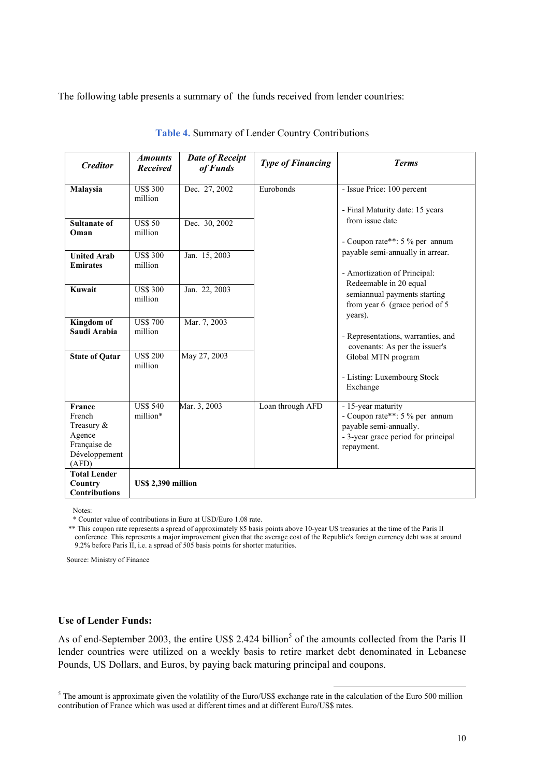The following table presents a summary of the funds received from lender countries:

| <b>Creditor</b>                                                                      | <i><b>Amounts</b></i><br><b>Received</b> | <b>Date of Receipt</b><br>of Funds | <b>Type of Financing</b> | <b>Terms</b>                                                                                                                        |
|--------------------------------------------------------------------------------------|------------------------------------------|------------------------------------|--------------------------|-------------------------------------------------------------------------------------------------------------------------------------|
| Malaysia                                                                             | <b>US\$ 300</b><br>million               | Dec. 27, 2002                      | Eurobonds                | - Issue Price: 100 percent<br>- Final Maturity date: 15 years                                                                       |
| <b>Sultanate of</b><br>Oman                                                          | <b>US\$ 50</b><br>million                | Dec. 30, 2002                      |                          | from issue date<br>- Coupon rate**: 5 % per annum                                                                                   |
| <b>United Arab</b><br><b>Emirates</b>                                                | <b>US\$ 300</b><br>million               | Jan. 15, 2003                      |                          | payable semi-annually in arrear.<br>- Amortization of Principal:<br>Redeemable in 20 equal                                          |
| Kuwait                                                                               | <b>US\$ 300</b><br>million               | Jan. 22, 2003                      |                          | semiannual payments starting<br>from year $6 \text{ (grace period of } 5$<br>years).                                                |
| Kingdom of<br>Saudi Arabia                                                           | <b>US\$700</b><br>million                | Mar. 7, 2003                       |                          | - Representations, warranties, and<br>covenants: As per the issuer's                                                                |
| <b>State of Qatar</b>                                                                | <b>US\$ 200</b><br>million               | May 27, 2003                       |                          | Global MTN program<br>- Listing: Luxembourg Stock<br>Exchange                                                                       |
| France<br>French<br>Treasury $&$<br>Agence<br>Française de<br>Développement<br>(AFD) | <b>US\$ 540</b><br>million*              | Mar. 3, 2003                       | Loan through AFD         | - 15-year maturity<br>- Coupon rate**: 5 % per annum<br>payable semi-annually.<br>- 3-year grace period for principal<br>repayment. |
| <b>Total Lender</b><br>Country<br><b>Contributions</b>                               | US\$ 2,390 million                       |                                    |                          |                                                                                                                                     |

| Table 4. Summary of Lender Country Contributions |  |  |  |
|--------------------------------------------------|--|--|--|
|--------------------------------------------------|--|--|--|

Notes:

\* Counter value of contributions in Euro at USD/Euro 1.08 rate.

 \*\* This coupon rate represents a spread of approximately 85 basis points above 10-year US treasuries at the time of the Paris II conference. This represents a major improvement given that the average cost of the Republic's foreign currency debt was at around 9.2% before Paris II, i.e. a spread of 505 basis points for shorter maturities.

Source: Ministry of Finance

# **Use of Lender Funds:**

As of end-September 2003, the entire US\$ 2.424 billion<sup>5</sup> of the amounts collected from the Paris II lender countries were utilized on a weekly basis to retire market debt denominated in Lebanese Pounds, US Dollars, and Euros, by paying back maturing principal and coupons.

<sup>5</sup> The amount is approximate given the volatility of the Euro/US\$ exchange rate in the calculation of the Euro 500 million contribution of France which was used at different times and at different Euro/US\$ rates.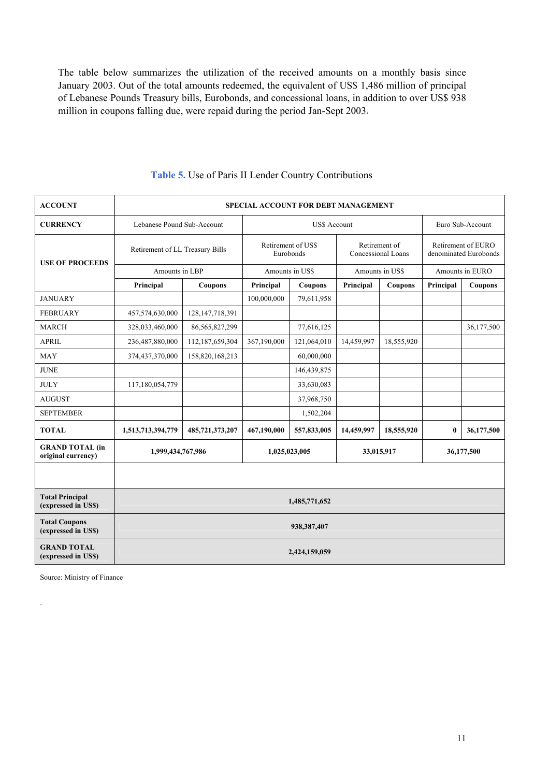The table below summarizes the utilization of the received amounts on a monthly basis since January 2003. Out of the total amounts redeemed, the equivalent of US\$ 1,486 million of principal of Lebanese Pounds Treasury bills, Eurobonds, and concessional loans, in addition to over US\$ 938 million in coupons falling due, were repaid during the period Jan-Sept 2003**.** 

| <b>ACCOUNT</b>                                | <b>SPECIAL ACCOUNT FOR DEBT MANAGEMENT</b>       |                    |                                 |                     |                                     |                 |                                             |                 |
|-----------------------------------------------|--------------------------------------------------|--------------------|---------------------------------|---------------------|-------------------------------------|-----------------|---------------------------------------------|-----------------|
| <b>CURRENCY</b>                               | Lebanese Pound Sub-Account                       |                    |                                 | <b>US\$ Account</b> |                                     |                 | Euro Sub-Account                            |                 |
| <b>USE OF PROCEEDS</b>                        | Retirement of LL Treasury Bills                  |                    | Retirement of US\$<br>Eurobonds |                     | Retirement of<br>Concessional Loans |                 | Retirement of EURO<br>denominated Eurobonds |                 |
|                                               | Amounts in LBP                                   |                    | Amounts in US\$                 |                     |                                     | Amounts in US\$ |                                             | Amounts in EURO |
|                                               | Principal                                        | Coupons            | Principal                       | Coupons             | Principal                           | Coupons         | Principal                                   | Coupons         |
| <b>JANUARY</b>                                |                                                  |                    | 100,000,000                     | 79,611,958          |                                     |                 |                                             |                 |
| <b>FEBRUARY</b>                               | 457,574,630,000                                  | 128, 147, 718, 391 |                                 |                     |                                     |                 |                                             |                 |
| <b>MARCH</b>                                  | 328,033,460,000                                  | 86,565,827,299     |                                 | 77,616,125          |                                     |                 |                                             | 36,177,500      |
| <b>APRIL</b>                                  | 236,487,880,000                                  | 112,187,659,304    | 367,190,000                     | 121,064,010         | 14,459,997                          | 18,555,920      |                                             |                 |
| <b>MAY</b>                                    | 374,437,370,000                                  | 158,820,168,213    |                                 | 60,000,000          |                                     |                 |                                             |                 |
| <b>JUNE</b>                                   |                                                  |                    |                                 | 146,439,875         |                                     |                 |                                             |                 |
| <b>JULY</b>                                   | 117,180,054,779                                  |                    |                                 | 33,630,083          |                                     |                 |                                             |                 |
| <b>AUGUST</b>                                 |                                                  |                    |                                 | 37,968,750          |                                     |                 |                                             |                 |
| <b>SEPTEMBER</b>                              |                                                  |                    |                                 | 1,502,204           |                                     |                 |                                             |                 |
| <b>TOTAL</b>                                  | 1,513,713,394,779                                | 485,721,373,207    | 467,190,000                     | 557,833,005         | 14,459,997                          | 18,555,920      | $\bf{0}$                                    | 36,177,500      |
| <b>GRAND TOTAL (in</b><br>original currency)  | 1,999,434,767,986<br>1,025,023,005<br>33,015,917 |                    |                                 | 36,177,500          |                                     |                 |                                             |                 |
|                                               |                                                  |                    |                                 |                     |                                     |                 |                                             |                 |
| <b>Total Principal</b><br>(expressed in US\$) | 1,485,771,652                                    |                    |                                 |                     |                                     |                 |                                             |                 |
| <b>Total Coupons</b><br>(expressed in US\$)   | 938,387,407                                      |                    |                                 |                     |                                     |                 |                                             |                 |
| <b>GRAND TOTAL</b><br>(expressed in US\$)     | 2,424,159,059                                    |                    |                                 |                     |                                     |                 |                                             |                 |

# **Table 5.** Use of Paris II Lender Country Contributions

Source: Ministry of Finance

.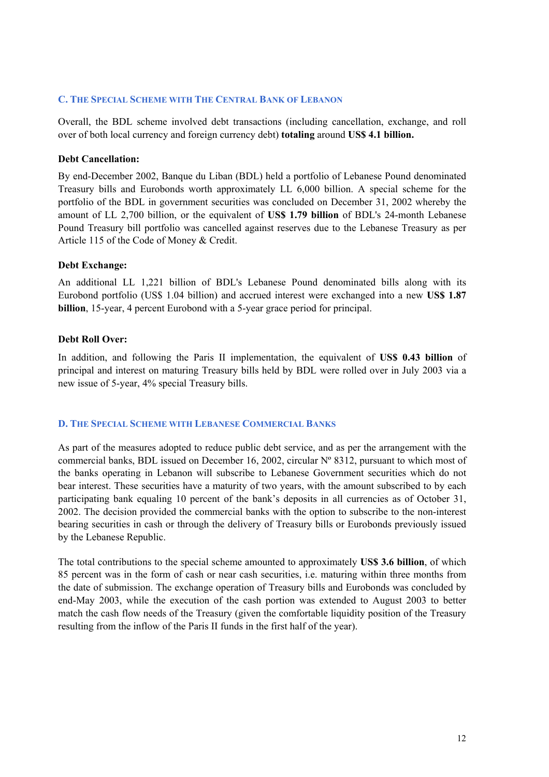### **C. THE SPECIAL SCHEME WITH THE CENTRAL BANK OF LEBANON**

Overall, the BDL scheme involved debt transactions (including cancellation, exchange, and roll over of both local currency and foreign currency debt) **totaling** around **US\$ 4.1 billion.** 

#### **Debt Cancellation:**

By end-December 2002, Banque du Liban (BDL) held a portfolio of Lebanese Pound denominated Treasury bills and Eurobonds worth approximately LL 6,000 billion. A special scheme for the portfolio of the BDL in government securities was concluded on December 31, 2002 whereby the amount of LL 2,700 billion, or the equivalent of **US\$ 1.79 billion** of BDL's 24-month Lebanese Pound Treasury bill portfolio was cancelled against reserves due to the Lebanese Treasury as per Article 115 of the Code of Money & Credit.

## **Debt Exchange:**

An additional LL 1,221 billion of BDL's Lebanese Pound denominated bills along with its Eurobond portfolio (US\$ 1.04 billion) and accrued interest were exchanged into a new **US\$ 1.87 billion**, 15-year, 4 percent Eurobond with a 5-year grace period for principal.

## **Debt Roll Over:**

In addition, and following the Paris II implementation, the equivalent of **US\$ 0.43 billion** of principal and interest on maturing Treasury bills held by BDL were rolled over in July 2003 via a new issue of 5-year, 4% special Treasury bills.

#### **D. THE SPECIAL SCHEME WITH LEBANESE COMMERCIAL BANKS**

As part of the measures adopted to reduce public debt service, and as per the arrangement with the commercial banks, BDL issued on December 16, 2002, circular Nº 8312, pursuant to which most of the banks operating in Lebanon will subscribe to Lebanese Government securities which do not bear interest. These securities have a maturity of two years, with the amount subscribed to by each participating bank equaling 10 percent of the bank's deposits in all currencies as of October 31, 2002. The decision provided the commercial banks with the option to subscribe to the non-interest bearing securities in cash or through the delivery of Treasury bills or Eurobonds previously issued by the Lebanese Republic.

The total contributions to the special scheme amounted to approximately **US\$ 3.6 billion**, of which 85 percent was in the form of cash or near cash securities, i.e. maturing within three months from the date of submission. The exchange operation of Treasury bills and Eurobonds was concluded by end-May 2003, while the execution of the cash portion was extended to August 2003 to better match the cash flow needs of the Treasury (given the comfortable liquidity position of the Treasury resulting from the inflow of the Paris II funds in the first half of the year).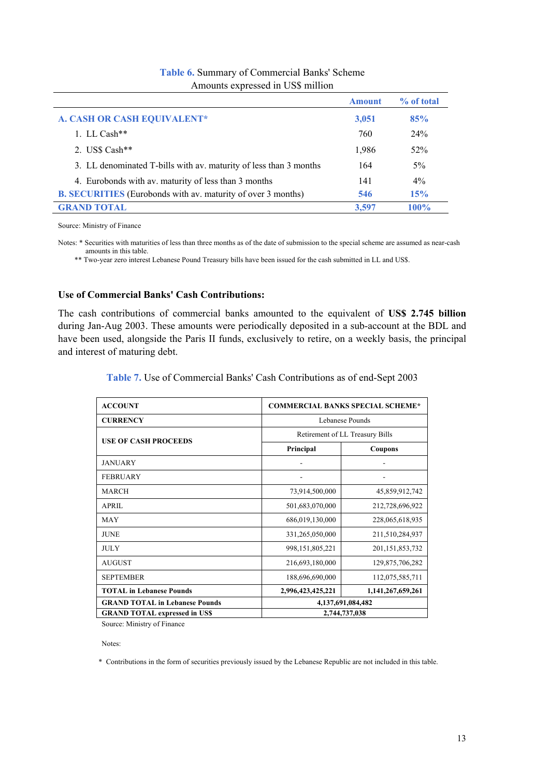|                                                                     | Amount | % of total  |
|---------------------------------------------------------------------|--------|-------------|
| A. CASH OR CASH EQUIVALENT*                                         | 3,051  | 85%         |
| 1. LL Cash**                                                        | 760    | 24%         |
| 2. US\$ Cash**                                                      | 1,986  | 52%         |
| 3. LL denominated T-bills with av. maturity of less than 3 months   | 164    | $5\%$       |
| 4. Eurobonds with av. maturity of less than 3 months                | 141    | $4\%$       |
| <b>B. SECURITIES</b> (Eurobonds with av. maturity of over 3 months) | 546    | 15%         |
| <b>GRAND TOTAL</b>                                                  | 3.597  | <b>100%</b> |

## **Table 6.** Summary of Commercial Banks' Scheme Amounts expressed in US\$ million

Source: Ministry of Finance

Notes: \* Securities with maturities of less than three months as of the date of submission to the special scheme are assumed as near-cash amounts in this table.

\*\* Two-year zero interest Lebanese Pound Treasury bills have been issued for the cash submitted in LL and US\$.

#### **Use of Commercial Banks' Cash Contributions:**

The cash contributions of commercial banks amounted to the equivalent of **US\$ 2.745 billion** during Jan-Aug 2003. These amounts were periodically deposited in a sub-account at the BDL and have been used, alongside the Paris II funds, exclusively to retire, on a weekly basis, the principal and interest of maturing debt.

| <b>ACCOUNT</b>                        |                                 | <b>COMMERCIAL BANKS SPECIAL SCHEME*</b> |  |  |
|---------------------------------------|---------------------------------|-----------------------------------------|--|--|
| <b>CURRENCY</b>                       | Lebanese Pounds                 |                                         |  |  |
| <b>USE OF CASH PROCEEDS</b>           | Retirement of LL Treasury Bills |                                         |  |  |
|                                       | Principal                       | Coupons                                 |  |  |
| <b>JANUARY</b>                        |                                 |                                         |  |  |
| <b>FEBRUARY</b>                       |                                 |                                         |  |  |
| <b>MARCH</b>                          | 73,914,500,000                  | 45,859,912,742                          |  |  |
| <b>APRIL</b>                          | 501,683,070,000                 | 212,728,696,922                         |  |  |
| <b>MAY</b>                            | 686,019,130,000                 | 228,065,618,935                         |  |  |
| <b>JUNE</b>                           | 331,265,050,000                 | 211,510,284,937                         |  |  |
| <b>JULY</b>                           | 998, 151, 805, 221              | 201, 151, 853, 732                      |  |  |
| <b>AUGUST</b>                         | 216,693,180,000                 | 129,875,706,282                         |  |  |
| <b>SEPTEMBER</b>                      | 188,696,690,000                 | 112,075,585,711                         |  |  |
| <b>TOTAL</b> in Lebanese Pounds       | 2,996,423,425,221               | 1,141,267,659,261                       |  |  |
| <b>GRAND TOTAL in Lebanese Pounds</b> | 4,137,691,084,482               |                                         |  |  |
| <b>GRAND TOTAL expressed in USS</b>   | 2,744,737,038                   |                                         |  |  |

Source: Ministry of Finance

Notes:

\* Contributions in the form of securities previously issued by the Lebanese Republic are not included in this table.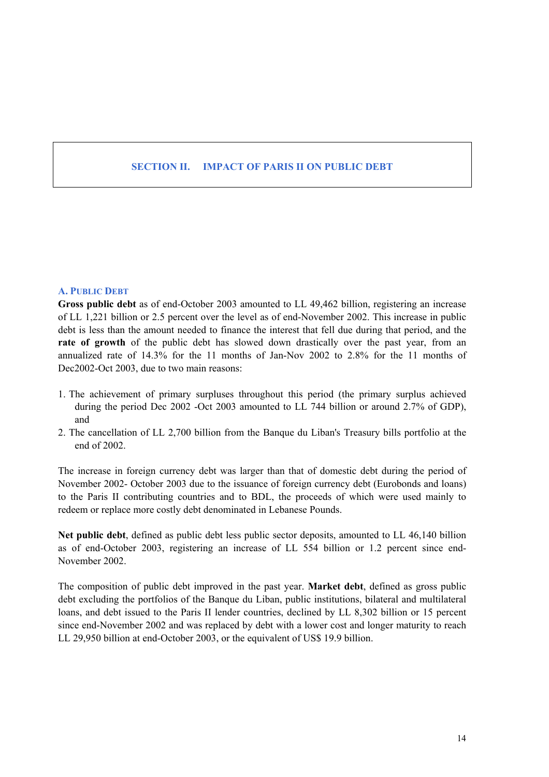# **SECTION II. IMPACT OF PARIS II ON PUBLIC DEBT**

#### **A. PUBLIC DEBT**

**Gross public debt** as of end-October 2003 amounted to LL 49,462 billion, registering an increase of LL 1,221 billion or 2.5 percent over the level as of end-November 2002. This increase in public debt is less than the amount needed to finance the interest that fell due during that period, and the **rate of growth** of the public debt has slowed down drastically over the past year, from an annualized rate of 14.3% for the 11 months of Jan-Nov 2002 to 2.8% for the 11 months of Dec2002-Oct 2003, due to two main reasons:

- 1. The achievement of primary surpluses throughout this period (the primary surplus achieved during the period Dec 2002 -Oct 2003 amounted to LL 744 billion or around 2.7% of GDP), and
- 2. The cancellation of LL 2,700 billion from the Banque du Liban's Treasury bills portfolio at the end of 2002.

The increase in foreign currency debt was larger than that of domestic debt during the period of November 2002- October 2003 due to the issuance of foreign currency debt (Eurobonds and loans) to the Paris II contributing countries and to BDL, the proceeds of which were used mainly to redeem or replace more costly debt denominated in Lebanese Pounds.

**Net public debt**, defined as public debt less public sector deposits, amounted to LL 46,140 billion as of end-October 2003, registering an increase of LL 554 billion or 1.2 percent since end-November 2002.

The composition of public debt improved in the past year. **Market debt**, defined as gross public debt excluding the portfolios of the Banque du Liban, public institutions, bilateral and multilateral loans, and debt issued to the Paris II lender countries, declined by LL 8,302 billion or 15 percent since end-November 2002 and was replaced by debt with a lower cost and longer maturity to reach LL 29,950 billion at end-October 2003, or the equivalent of US\$ 19.9 billion.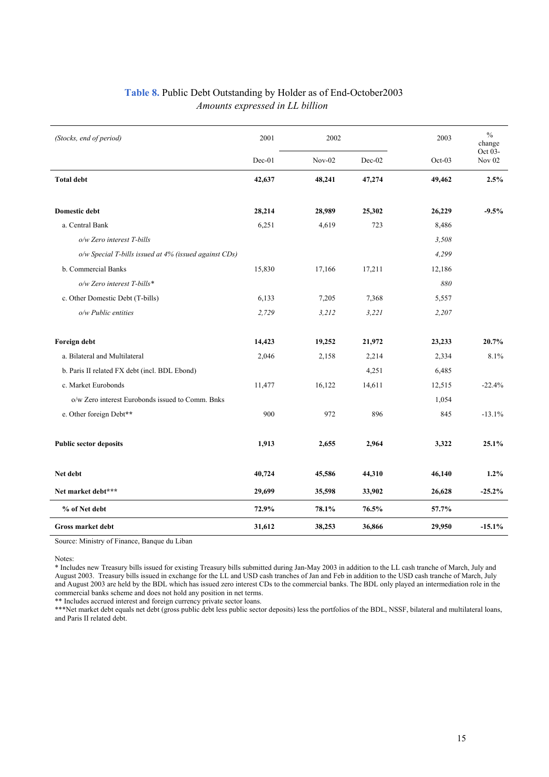| Table 8. Public Debt Outstanding by Holder as of End-October 2003 |
|-------------------------------------------------------------------|
| Amounts expressed in LL billion                                   |

| (Stocks, end of period)                               | 2001   | 2002     |          | 2003   | $\frac{0}{0}$<br>change  |
|-------------------------------------------------------|--------|----------|----------|--------|--------------------------|
|                                                       | Dec-01 | $Nov-02$ | $Dec-02$ | Oct-03 | Oct 03-<br><b>Nov 02</b> |
| <b>Total debt</b>                                     | 42,637 | 48,241   | 47,274   | 49,462 | 2.5%                     |
| <b>Domestic debt</b>                                  | 28,214 | 28,989   | 25,302   | 26,229 | $-9.5%$                  |
| a. Central Bank                                       | 6,251  | 4,619    | 723      | 8,486  |                          |
| o/w Zero interest T-bills                             |        |          |          | 3,508  |                          |
| o/w Special T-bills issued at 4% (issued against CDs) |        |          |          | 4,299  |                          |
| b. Commercial Banks                                   | 15,830 | 17,166   | 17,211   | 12,186 |                          |
| o/w Zero interest T-bills*                            |        |          |          | 880    |                          |
| c. Other Domestic Debt (T-bills)                      | 6,133  | 7,205    | 7,368    | 5,557  |                          |
| o/w Public entities                                   | 2,729  | 3,212    | 3,221    | 2,207  |                          |
| Foreign debt                                          | 14,423 | 19,252   | 21,972   | 23,233 | 20.7%                    |
| a. Bilateral and Multilateral                         | 2,046  | 2,158    | 2,214    | 2,334  | 8.1%                     |
| b. Paris II related FX debt (incl. BDL Ebond)         |        |          | 4,251    | 6,485  |                          |
| c. Market Eurobonds                                   | 11,477 | 16,122   | 14,611   | 12,515 | $-22.4%$                 |
| o/w Zero interest Eurobonds issued to Comm. Bnks      |        |          |          | 1,054  |                          |
| e. Other foreign Debt**                               | 900    | 972      | 896      | 845    | $-13.1%$                 |
| <b>Public sector deposits</b>                         | 1,913  | 2,655    | 2,964    | 3,322  | 25.1%                    |
| Net debt                                              | 40,724 | 45,586   | 44,310   | 46,140 | 1.2%                     |
| Net market debt***                                    | 29,699 | 35,598   | 33,902   | 26,628 | $-25.2%$                 |
| % of Net debt                                         | 72.9%  | 78.1%    | 76.5%    | 57.7%  |                          |
| Gross market debt                                     | 31,612 | 38,253   | 36,866   | 29,950 | $-15.1%$                 |

Source: Ministry of Finance, Banque du Liban

Notes:

l.

\* Includes new Treasury bills issued for existing Treasury bills submitted during Jan-May 2003 in addition to the LL cash tranche of March, July and August 2003. Treasury bills issued in exchange for the LL and USD cash tranches of Jan and Feb in addition to the USD cash tranche of March, July and August 2003 are held by the BDL which has issued zero interest CDs to the commercial banks. The BDL only played an intermediation role in the commercial banks scheme and does not hold any position in net terms.

\*\* Includes accrued interest and foreign currency private sector loans.

\*\*\*Net market debt equals net debt (gross public debt less public sector deposits) less the portfolios of the BDL, NSSF, bilateral and multilateral loans, and Paris II related debt.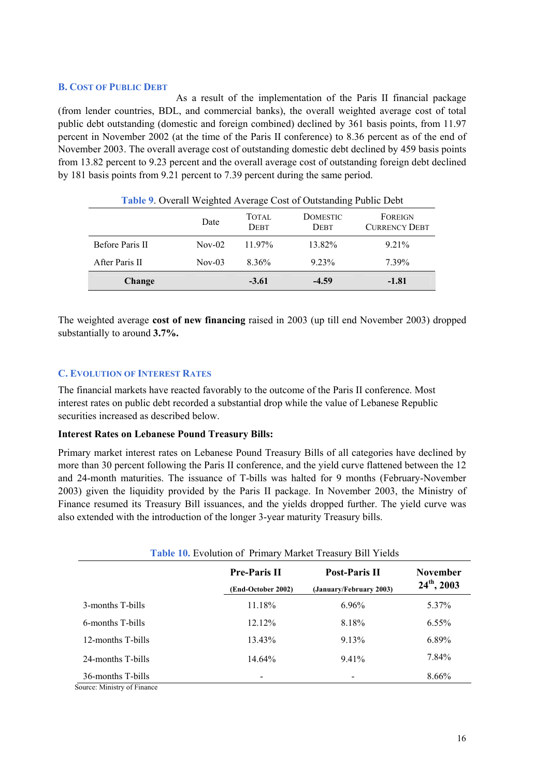#### **B. COST OF PUBLIC DEBT**

As a result of the implementation of the Paris II financial package (from lender countries, BDL, and commercial banks), the overall weighted average cost of total public debt outstanding (domestic and foreign combined) declined by 361 basis points, from 11.97 percent in November 2002 (at the time of the Paris II conference) to 8.36 percent as of the end of November 2003. The overall average cost of outstanding domestic debt declined by 459 basis points from 13.82 percent to 9.23 percent and the overall average cost of outstanding foreign debt declined by 181 basis points from 9.21 percent to 7.39 percent during the same period.

| <b>Table 9. Overall Weighted Average Cost of Outstanding Public Debt</b> |          |                             |                                |                                 |  |
|--------------------------------------------------------------------------|----------|-----------------------------|--------------------------------|---------------------------------|--|
|                                                                          | Date     | <b>TOTAL</b><br><b>DEBT</b> | <b>DOMESTIC</b><br><b>DEBT</b> | FOREIGN<br><b>CURRENCY DEBT</b> |  |
| Before Paris II                                                          | $Nov-02$ | $11.97\%$                   | 13.82%                         | 9 2 1 %                         |  |
| After Paris II                                                           | $Nov-03$ | $8.36\%$                    | 9.23%                          | 7.39%                           |  |
| Change                                                                   |          | $-3.61$                     | $-4.59$                        | $-1.81$                         |  |

The weighted average **cost of new financing** raised in 2003 (up till end November 2003) dropped substantially to around **3.7%.**

#### **C. EVOLUTION OF INTEREST RATES**

The financial markets have reacted favorably to the outcome of the Paris II conference. Most interest rates on public debt recorded a substantial drop while the value of Lebanese Republic securities increased as described below.

#### **Interest Rates on Lebanese Pound Treasury Bills:**

Primary market interest rates on Lebanese Pound Treasury Bills of all categories have declined by more than 30 percent following the Paris II conference, and the yield curve flattened between the 12 and 24-month maturities. The issuance of T-bills was halted for 9 months (February-November 2003) given the liquidity provided by the Paris II package. In November 2003, the Ministry of Finance resumed its Treasury Bill issuances, and the yields dropped further. The yield curve was also extended with the introduction of the longer 3-year maturity Treasury bills.

| <b>Table 10.</b> Evolution of Primary Market Treasury Bill Yields |                                           |                                                 |                                     |  |
|-------------------------------------------------------------------|-------------------------------------------|-------------------------------------------------|-------------------------------------|--|
|                                                                   | <b>Pre-Paris II</b><br>(End-October 2002) | <b>Post-Paris II</b><br>(January/February 2003) | <b>November</b><br>$24^{th}$ , 2003 |  |
| 3-months T-bills                                                  | 11.18%                                    | 6.96%                                           | 5.37%                               |  |
| 6-months T-bills                                                  | $12.12\%$                                 | 8.18%                                           | $6.55\%$                            |  |
| 12-months T-bills                                                 | 13.43%                                    | 9.13%                                           | $6.89\%$                            |  |
| 24-months T-bills                                                 | 14.64%                                    | 9.41%                                           | 7.84%                               |  |
| 36-months T-bills<br>$\alpha$ are $\alpha$ $\alpha$               |                                           |                                                 | 8.66%                               |  |

Source: Ministry of Finance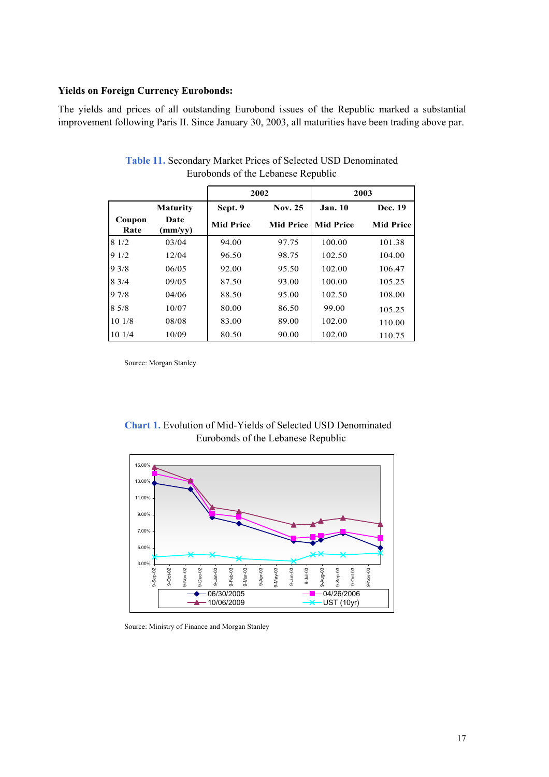#### **Yields on Foreign Currency Eurobonds:**

The yields and prices of all outstanding Eurobond issues of the Republic marked a substantial improvement following Paris II. Since January 30, 2003, all maturities have been trading above par.

|                |                 |                  | 2002             |                  | 2003             |
|----------------|-----------------|------------------|------------------|------------------|------------------|
|                | <b>Maturity</b> | Sept. 9          | <b>Nov. 25</b>   | <b>Jan. 10</b>   | Dec. 19          |
| Coupon<br>Rate | Date<br>(mm/yy) | <b>Mid Price</b> | <b>Mid Price</b> | <b>Mid Price</b> | <b>Mid Price</b> |
| 81/2           | 03/04           | 94.00            | 97.75            | 100.00           | 101.38           |
| 91/2           | 12/04           | 96.50            | 98.75            | 102.50           | 104.00           |
| 93/8           | 06/05           | 92.00            | 95.50            | 102.00           | 106.47           |
| 83/4           | 09/05           | 87.50            | 93.00            | 100.00           | 105.25           |
| 97/8           | 04/06           | 88.50            | 95.00            | 102.50           | 108.00           |
| 8 5/8          | 10/07           | 80.00            | 86.50            | 99.00            | 105.25           |
| 101/8          | 08/08           | 83.00            | 89.00            | 102.00           | 110.00           |
| 101/4          | 10/09           | 80.50            | 90.00            | 102.00           | 110.75           |

**Table 11.** Secondary Market Prices of Selected USD Denominated Eurobonds of the Lebanese Republic

Source: Morgan Stanley



# **Chart 1.** Evolution of Mid-Yields of Selected USD Denominated Eurobonds of the Lebanese Republic

Source: Ministry of Finance and Morgan Stanley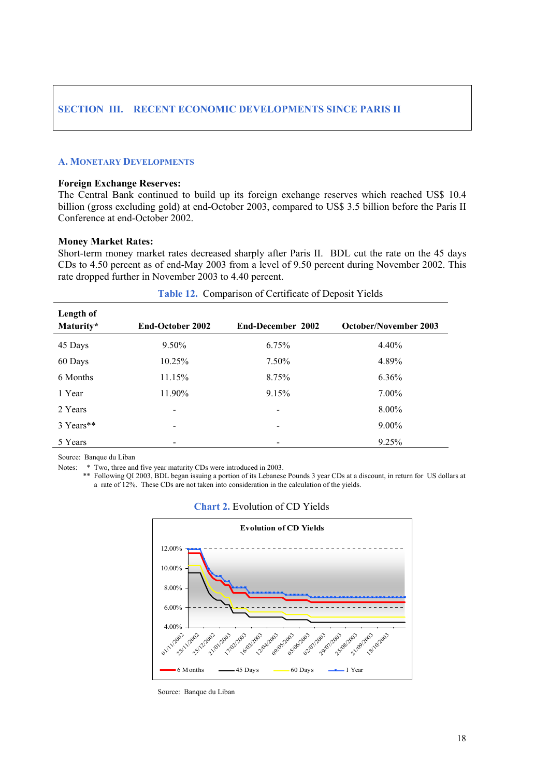# **SECTION III. RECENT ECONOMIC DEVELOPMENTS SINCE PARIS II**

#### **A. MONETARY DEVELOPMENTS**

#### **Foreign Exchange Reserves:**

The Central Bank continued to build up its foreign exchange reserves which reached US\$ 10.4 billion (gross excluding gold) at end-October 2003, compared to US\$ 3.5 billion before the Paris II Conference at end-October 2002.

#### **Money Market Rates:**

Short-term money market rates decreased sharply after Paris II. BDL cut the rate on the 45 days CDs to 4.50 percent as of end-May 2003 from a level of 9.50 percent during November 2002. This rate dropped further in November 2003 to 4.40 percent.

| Length of<br>Maturity* | <b>End-October 2002</b> | End-December 2002 | <b>October/November 2003</b> |
|------------------------|-------------------------|-------------------|------------------------------|
| 45 Days                | $9.50\%$                | 6.75%             | 4.40%                        |
| 60 Days                | 10.25%                  | $7.50\%$          | 4.89%                        |
| 6 Months               | 11.15%                  | 8.75%             | $6.36\%$                     |
| 1 Year                 | 11.90%                  | 9.15%             | $7.00\%$                     |
| 2 Years                |                         |                   | $8.00\%$                     |
| 3 Years**              | $\,$                    |                   | $9.00\%$                     |
| 5 Years                |                         |                   | 9.25%                        |

#### **Table 12.** Comparison of Certificate of Deposit Yields

Source: Banque du Liban

Notes: \* Two, three and five year maturity CDs were introduced in 2003.

\*\* Following QI 2003, BDL began issuing a portion of its Lebanese Pounds 3 year CDs at a discount, in return for US dollars at a rate of 12%. These CDs are not taken into consideration in the calculation of the yields.



#### **Chart 2.** Evolution of CD Yields

Source: Banque du Liban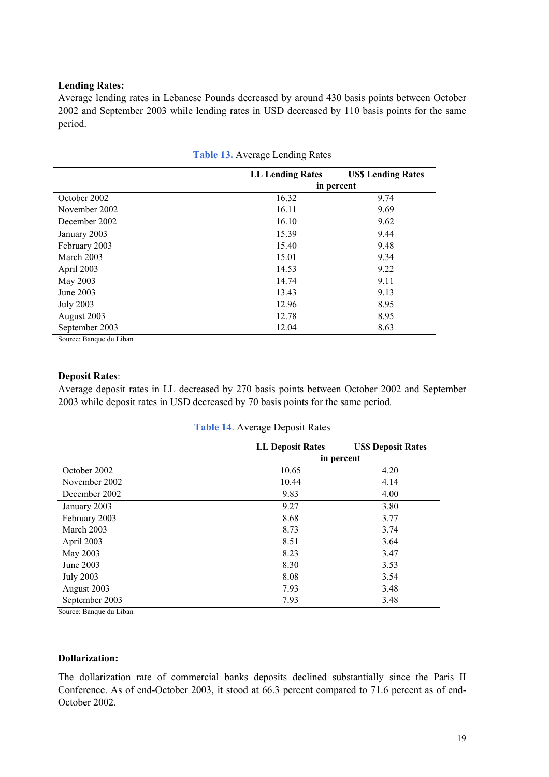### **Lending Rates:**

Average lending rates in Lebanese Pounds decreased by around 430 basis points between October 2002 and September 2003 while lending rates in USD decreased by 110 basis points for the same period.

|                  | <b>LL Lending Rates</b> | <b>US\$ Lending Rates</b> |
|------------------|-------------------------|---------------------------|
|                  |                         | in percent                |
| October 2002     | 16.32                   | 9.74                      |
| November 2002    | 16.11                   | 9.69                      |
| December 2002    | 16.10                   | 9.62                      |
| January 2003     | 15.39                   | 9.44                      |
| February 2003    | 15.40                   | 9.48                      |
| March 2003       | 15.01                   | 9.34                      |
| April 2003       | 14.53                   | 9.22                      |
| May 2003         | 14.74                   | 9.11                      |
| June 2003        | 13.43                   | 9.13                      |
| <b>July 2003</b> | 12.96                   | 8.95                      |
| August 2003      | 12.78                   | 8.95                      |
| September 2003   | 12.04                   | 8.63                      |

|  |  | <b>Table 13.</b> Average Lending Rates |  |  |
|--|--|----------------------------------------|--|--|
|--|--|----------------------------------------|--|--|

Source: Banque du Liban

#### **Deposit Rates**:

Average deposit rates in LL decreased by 270 basis points between October 2002 and September 2003 while deposit rates in USD decreased by 70 basis points for the same period*.* 

|                  | <b>LL Deposit Rates</b> | <b>US\$ Deposit Rates</b> |
|------------------|-------------------------|---------------------------|
|                  |                         | in percent                |
| October 2002     | 10.65                   | 4.20                      |
| November 2002    | 10.44                   | 4.14                      |
| December 2002    | 9.83                    | 4.00                      |
| January 2003     | 9.27                    | 3.80                      |
| February 2003    | 8.68                    | 3.77                      |
| March 2003       | 8.73                    | 3.74                      |
| April 2003       | 8.51                    | 3.64                      |
| May 2003         | 8.23                    | 3.47                      |
| June 2003        | 8.30                    | 3.53                      |
| <b>July 2003</b> | 8.08                    | 3.54                      |
| August 2003      | 7.93                    | 3.48                      |
| September 2003   | 7.93                    | 3.48                      |

| <b>Table 14. Average Deposit Rates</b> |  |
|----------------------------------------|--|
|----------------------------------------|--|

Source: Banque du Liban

### **Dollarization:**

The dollarization rate of commercial banks deposits declined substantially since the Paris II Conference. As of end-October 2003, it stood at 66.3 percent compared to 71.6 percent as of end-October 2002.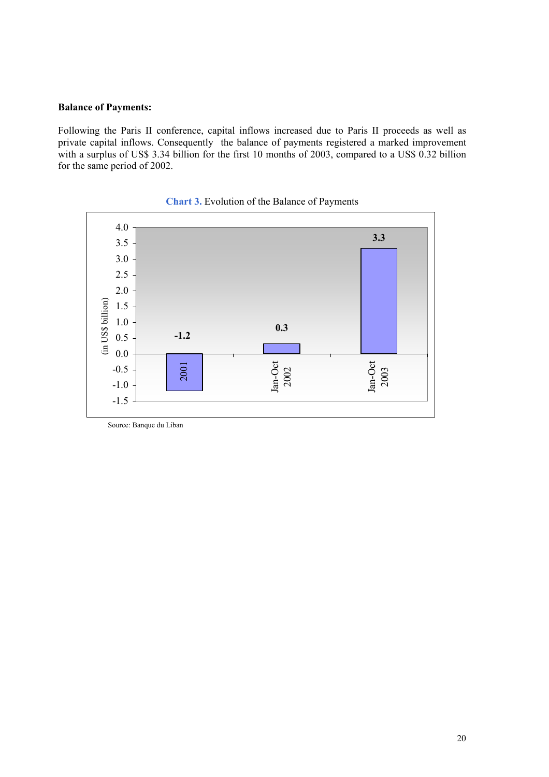## **Balance of Payments:**

Following the Paris II conference, capital inflows increased due to Paris II proceeds as well as private capital inflows. Consequently the balance of payments registered a marked improvement with a surplus of US\$ 3.34 billion for the first 10 months of 2003, compared to a US\$ 0.32 billion for the same period of 2002.



**Chart 3.** Evolution of the Balance of Payments

Source: Banque du Liban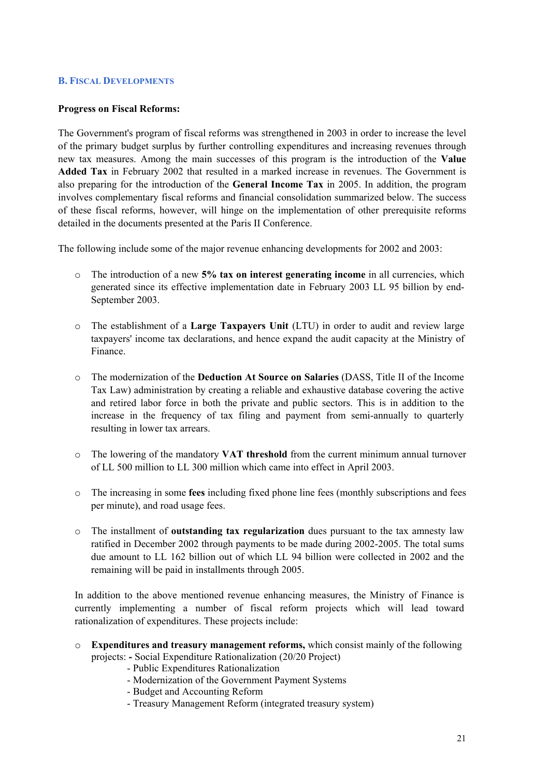### **B. FISCAL DEVELOPMENTS**

### **Progress on Fiscal Reforms:**

The Government's program of fiscal reforms was strengthened in 2003 in order to increase the level of the primary budget surplus by further controlling expenditures and increasing revenues through new tax measures. Among the main successes of this program is the introduction of the **Value Added Tax** in February 2002 that resulted in a marked increase in revenues. The Government is also preparing for the introduction of the **General Income Tax** in 2005. In addition, the program involves complementary fiscal reforms and financial consolidation summarized below. The success of these fiscal reforms, however, will hinge on the implementation of other prerequisite reforms detailed in the documents presented at the Paris II Conference.

The following include some of the major revenue enhancing developments for 2002 and 2003:

- o The introduction of a new **5% tax on interest generating income** in all currencies, which generated since its effective implementation date in February 2003 LL 95 billion by end-September 2003.
- o The establishment of a **Large Taxpayers Unit** (LTU) in order to audit and review large taxpayers' income tax declarations, and hence expand the audit capacity at the Ministry of Finance.
- o The modernization of the **Deduction At Source on Salaries** (DASS, Title II of the Income Tax Law) administration by creating a reliable and exhaustive database covering the active and retired labor force in both the private and public sectors. This is in addition to the increase in the frequency of tax filing and payment from semi-annually to quarterly resulting in lower tax arrears.
- o The lowering of the mandatory **VAT threshold** from the current minimum annual turnover of LL 500 million to LL 300 million which came into effect in April 2003.
- o The increasing in some **fees** including fixed phone line fees (monthly subscriptions and fees per minute), and road usage fees.
- o The installment of **outstanding tax regularization** dues pursuant to the tax amnesty law ratified in December 2002 through payments to be made during 2002-2005. The total sums due amount to LL 162 billion out of which LL 94 billion were collected in 2002 and the remaining will be paid in installments through 2005.

In addition to the above mentioned revenue enhancing measures, the Ministry of Finance is currently implementing a number of fiscal reform projects which will lead toward rationalization of expenditures. These projects include:

- o **Expenditures and treasury management reforms,** which consist mainly of the following projects: **-** Social Expenditure Rationalization (20/20 Project)
	- Public Expenditures Rationalization
	- Modernization of the Government Payment Systems
	- Budget and Accounting Reform
	- Treasury Management Reform (integrated treasury system)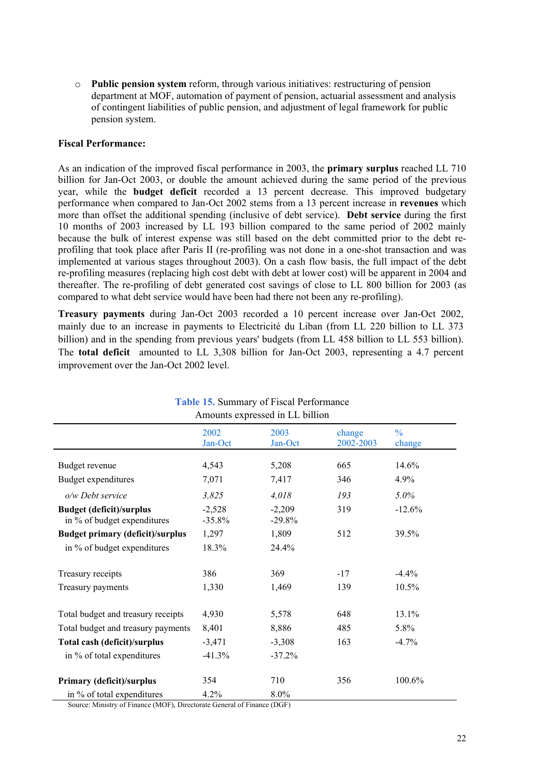o **Public pension system** reform, through various initiatives: restructuring of pension department at MOF, automation of payment of pension, actuarial assessment and analysis of contingent liabilities of public pension, and adjustment of legal framework for public pension system.

#### **Fiscal Performance:**

As an indication of the improved fiscal performance in 2003, the **primary surplus** reached LL 710 billion for Jan-Oct 2003, or double the amount achieved during the same period of the previous year, while the **budget deficit** recorded a 13 percent decrease. This improved budgetary performance when compared to Jan-Oct 2002 stems from a 13 percent increase in **revenues** which more than offset the additional spending (inclusive of debt service). **Debt service** during the first 10 months of 2003 increased by LL 193 billion compared to the same period of 2002 mainly because the bulk of interest expense was still based on the debt committed prior to the debt reprofiling that took place after Paris II (re-profiling was not done in a one-shot transaction and was implemented at various stages throughout 2003). On a cash flow basis, the full impact of the debt re-profiling measures (replacing high cost debt with debt at lower cost) will be apparent in 2004 and thereafter. The re-profiling of debt generated cost savings of close to LL 800 billion for 2003 (as compared to what debt service would have been had there not been any re-profiling).

**Treasury payments** during Jan-Oct 2003 recorded a 10 percent increase over Jan-Oct 2002, mainly due to an increase in payments to Electricité du Liban (from LL 220 billion to LL 373 billion) and in the spending from previous years' budgets (from LL 458 billion to LL 553 billion). The **total deficit** amounted to LL 3,308 billion for Jan-Oct 2003, representing a 4.7 percent improvement over the Jan-Oct 2002 level.

| Amounts expressed in LL billion                                |                       |                      |                     |                         |
|----------------------------------------------------------------|-----------------------|----------------------|---------------------|-------------------------|
|                                                                | 2002<br>Jan-Oct       | 2003<br>Jan-Oct      | change<br>2002-2003 | $\frac{0}{0}$<br>change |
| Budget revenue                                                 | 4,543                 | 5,208                | 665                 | 14.6%                   |
| Budget expenditures                                            | 7,071                 | 7,417                | 346                 | 4.9%                    |
| o/w Debt service                                               | 3,825                 | 4,018                | 193                 | 5.0%                    |
| <b>Budget (deficit)/surplus</b><br>in % of budget expenditures | $-2,528$<br>$-35.8\%$ | $-2,209$<br>$-29.8%$ | 319                 | $-12.6%$                |
| <b>Budget primary (deficit)/surplus</b>                        | 1,297                 | 1,809                | 512                 | 39.5%                   |
| in % of budget expenditures                                    | 18.3%                 | 24.4%                |                     |                         |
| Treasury receipts                                              | 386                   | 369                  | $-17$               | $-4.4%$                 |
| Treasury payments                                              | 1,330                 | 1,469                | 139                 | 10.5%                   |
| Total budget and treasury receipts                             | 4,930                 | 5,578                | 648                 | 13.1%                   |
| Total budget and treasury payments                             | 8,401                 | 8,886                | 485                 | 5.8%                    |
| Total cash (deficit)/surplus                                   | $-3,471$              | $-3,308$             | 163                 | $-4.7%$                 |
| in % of total expenditures                                     | $-41.3%$              | $-37.2%$             |                     |                         |
| Primary (deficit)/surplus                                      | 354                   | 710                  | 356                 | 100.6%                  |
| in % of total expenditures                                     | 4.2%                  | 8.0%                 |                     |                         |

**Table 15.** Summary of Fiscal Performance

Source: Ministry of Finance (MOF), Directorate General of Finance (DGF)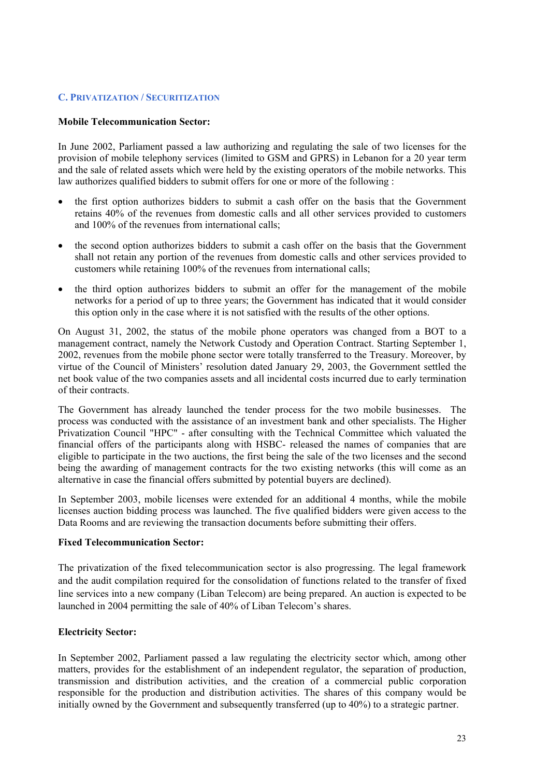#### **C. PRIVATIZATION / SECURITIZATION**

#### **Mobile Telecommunication Sector:**

In June 2002, Parliament passed a law authorizing and regulating the sale of two licenses for the provision of mobile telephony services (limited to GSM and GPRS) in Lebanon for a 20 year term and the sale of related assets which were held by the existing operators of the mobile networks. This law authorizes qualified bidders to submit offers for one or more of the following :

- the first option authorizes bidders to submit a cash offer on the basis that the Government retains 40% of the revenues from domestic calls and all other services provided to customers and 100% of the revenues from international calls;
- the second option authorizes bidders to submit a cash offer on the basis that the Government shall not retain any portion of the revenues from domestic calls and other services provided to customers while retaining 100% of the revenues from international calls;
- the third option authorizes bidders to submit an offer for the management of the mobile networks for a period of up to three years; the Government has indicated that it would consider this option only in the case where it is not satisfied with the results of the other options.

On August 31, 2002, the status of the mobile phone operators was changed from a BOT to a management contract, namely the Network Custody and Operation Contract. Starting September 1, 2002, revenues from the mobile phone sector were totally transferred to the Treasury. Moreover, by virtue of the Council of Ministers' resolution dated January 29, 2003, the Government settled the net book value of the two companies assets and all incidental costs incurred due to early termination of their contracts.

The Government has already launched the tender process for the two mobile businesses. The process was conducted with the assistance of an investment bank and other specialists. The Higher Privatization Council "HPC" - after consulting with the Technical Committee which valuated the financial offers of the participants along with HSBC- released the names of companies that are eligible to participate in the two auctions, the first being the sale of the two licenses and the second being the awarding of management contracts for the two existing networks (this will come as an alternative in case the financial offers submitted by potential buyers are declined).

In September 2003, mobile licenses were extended for an additional 4 months, while the mobile licenses auction bidding process was launched. The five qualified bidders were given access to the Data Rooms and are reviewing the transaction documents before submitting their offers.

#### **Fixed Telecommunication Sector:**

The privatization of the fixed telecommunication sector is also progressing. The legal framework and the audit compilation required for the consolidation of functions related to the transfer of fixed line services into a new company (Liban Telecom) are being prepared. An auction is expected to be launched in 2004 permitting the sale of 40% of Liban Telecom's shares.

#### **Electricity Sector:**

In September 2002, Parliament passed a law regulating the electricity sector which, among other matters, provides for the establishment of an independent regulator, the separation of production, transmission and distribution activities, and the creation of a commercial public corporation responsible for the production and distribution activities. The shares of this company would be initially owned by the Government and subsequently transferred (up to 40%) to a strategic partner.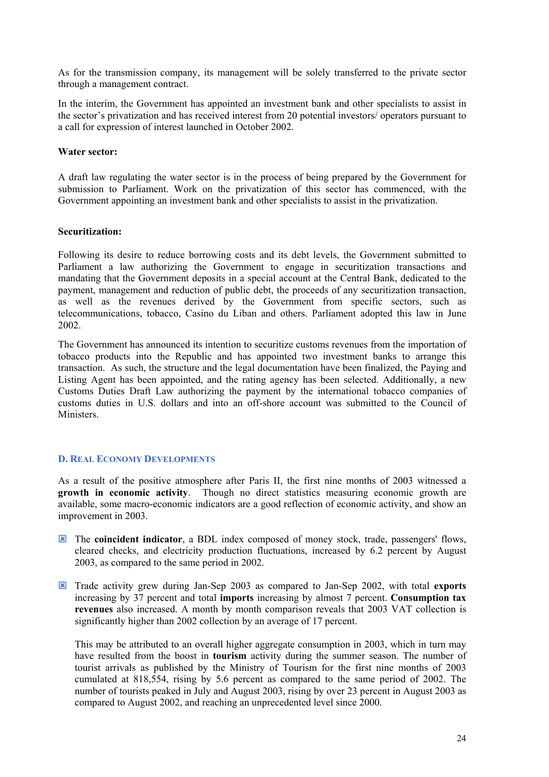As for the transmission company, its management will be solely transferred to the private sector through a management contract.

In the interim, the Government has appointed an investment bank and other specialists to assist in the sector's privatization and has received interest from 20 potential investors/ operators pursuant to a call for expression of interest launched in October 2002.

#### **Water sector:**

A draft law regulating the water sector is in the process of being prepared by the Government for submission to Parliament. Work on the privatization of this sector has commenced, with the Government appointing an investment bank and other specialists to assist in the privatization.

#### **Securitization:**

Following its desire to reduce borrowing costs and its debt levels, the Government submitted to Parliament a law authorizing the Government to engage in securitization transactions and mandating that the Government deposits in a special account at the Central Bank, dedicated to the payment, management and reduction of public debt, the proceeds of any securitization transaction, as well as the revenues derived by the Government from specific sectors, such as telecommunications, tobacco, Casino du Liban and others. Parliament adopted this law in June 2002.

The Government has announced its intention to securitize customs revenues from the importation of tobacco products into the Republic and has appointed two investment banks to arrange this transaction. As such, the structure and the legal documentation have been finalized, the Paying and Listing Agent has been appointed, and the rating agency has been selected. Additionally, a new Customs Duties Draft Law authorizing the payment by the international tobacco companies of customs duties in U.S. dollars and into an off-shore account was submitted to the Council of **Ministers** 

#### **D. REAL ECONOMY DEVELOPMENTS**

As a result of the positive atmosphere after Paris II, the first nine months of 2003 witnessed a **growth in economic activity**. Though no direct statistics measuring economic growth are available, some macro-economic indicators are a good reflection of economic activity, and show an improvement in 2003.

- **EX** The **coincident indicator**, a BDL index composed of money stock, trade, passengers' flows, cleared checks, and electricity production fluctuations, increased by 6.2 percent by August 2003, as compared to the same period in 2002.
- : Trade activity grew during Jan-Sep 2003 as compared to Jan-Sep 2002, with total **exports**  increasing by 37 percent and total **imports** increasing by almost 7 percent. **Consumption tax revenues** also increased. A month by month comparison reveals that 2003 VAT collection is significantly higher than 2002 collection by an average of 17 percent.

This may be attributed to an overall higher aggregate consumption in 2003, which in turn may have resulted from the boost in **tourism** activity during the summer season. The number of tourist arrivals as published by the Ministry of Tourism for the first nine months of 2003 cumulated at 818,554, rising by 5.6 percent as compared to the same period of 2002. The number of tourists peaked in July and August 2003, rising by over 23 percent in August 2003 as compared to August 2002, and reaching an unprecedented level since 2000.